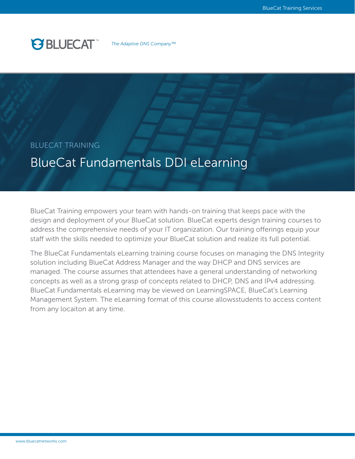### **PS BLUECAT**

*The Adaptive DNS Company™*

#### BLUECAT TRAINING

### BlueCat Fundamentals DDI eLearning

BlueCat Training empowers your team with hands-on training that keeps pace with the design and deployment of your BlueCat solution. BlueCat experts design training courses to address the comprehensive needs of your IT organization. Our training offerings equip your staff with the skills needed to optimize your BlueCat solution and realize its full potential.

The BlueCat Fundamentals eLearning training course focuses on managing the DNS Integrity solution including BlueCat Address Manager and the way DHCP and DNS services are managed. The course assumes that attendees have a general understanding of networking concepts as well as a strong grasp of concepts related to DHCP, DNS and IPv4 addressing. BlueCat Fundamentals eLearning may be viewed on LearningSPACE, BlueCat's Learning Management System. The eLearning format of this course allowsstudents to access content from any locaiton at any time.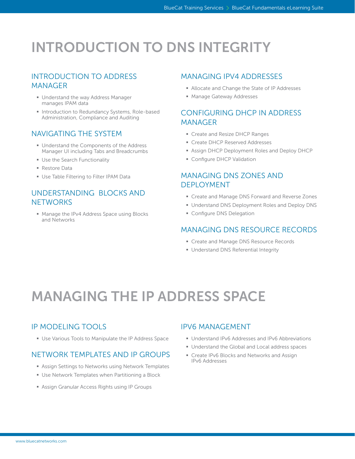# INTRODUCTION TO DNS INTEGRITY

#### INTRODUCTION TO ADDRESS MANAGER

- § Understand the way Address Manager manages IPAM data
- Introduction to Redundancy Systems, Role-based Administration, Compliance and Auditing

#### NAVIGATING THE SYSTEM

- Understand the Components of the Address Manager UI including Tabs and Breadcrumbs
- **Use the Search Functionality**
- § Restore Data
- **Use Table Filtering to Filter IPAM Data**

#### UNDERSTANDING BLOCKS AND **NETWORKS**

■ Manage the IPv4 Address Space using Blocks and Networks

#### MANAGING IPV4 ADDRESSES

- Allocate and Change the State of IP Addresses
- § Manage Gateway Addresses

#### CONFIGURING DHCP IN ADDRESS MANAGER

- Create and Resize DHCP Ranges
- Create DHCP Reserved Addresses
- Assign DHCP Deployment Roles and Deploy DHCP
- **Configure DHCP Validation**

#### MANAGING DNS ZONES AND DEPLOYMENT

- Create and Manage DNS Forward and Reverse Zones
- Understand DNS Deployment Roles and Deploy DNS
- **Configure DNS Delegation**

#### MANAGING DNS RESOURCE RECORDS

- Create and Manage DNS Resource Records
- Understand DNS Referential Integrity

## MANAGING THE IP ADDRESS SPACE

#### IP MODELING TOOLS

■ Use Various Tools to Manipulate the IP Address Space

#### NETWORK TEMPLATES AND IP GROUPS

- Assign Settings to Networks using Network Templates
- Use Network Templates when Partitioning a Block
- Assign Granular Access Rights using IP Groups

#### IPV6 MANAGEMENT

- Understand IPv6 Addresses and IPv6 Abbreviations
- Understand the Global and Local address spaces
- Create IPv6 Blocks and Networks and Assign IPv6 Addresses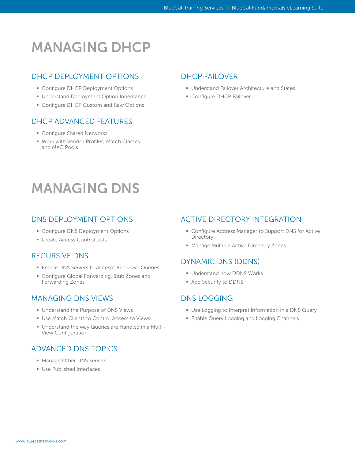### MANAGING DHCP

#### DHCP DEPLOYMENT OPTIONS

- Configure DHCP Deployment Options
- § Understand Deployment Option Inheritance
- Configure DHCP Custom and Raw Options

#### DHCP ADVANCED FEATURES

- Configure Shared Networks
- Work with Vendor Profiles, Match Classes and MAC Pools

#### DHCP FAILOVER

- Understand Failover Architecture and States
- **Configure DHCP Failover**

### MANAGING DNS

#### DNS DEPLOYMENT OPTIONS

- Configure DNS Deployment Options
- Create Access Control Lists

#### RECURSIVE DNS

- Enable DNS Servers to Accespt Recursive Queries
- Configure Global Forwarding, Stub Zones and Forwarding Zones

#### MANAGING DNS VIEWS

- § Understand the Purpose of DNS Views
- Use Match Clients to Control Access to Views
- Understand the way Queries are Handled in a Multi-View Configuration

#### ADVANCED DNS TOPICS

- § Manage Other DNS Servers
- § Use Published Interfaces

#### ACTIVE DIRECTORY INTEGRATION

- Configure Address Manager to Support DNS for Active **Directory**
- Manage Multiple Active Directory Zones

#### DYNAMIC DNS (DDNS)

- **Understand how DDNS Works**
- § Add Security to DDNS

#### DNS LOGGING

- Use Logging to Interpret Information in a DNS Query
- **Enable Query Logging and Logging Channels**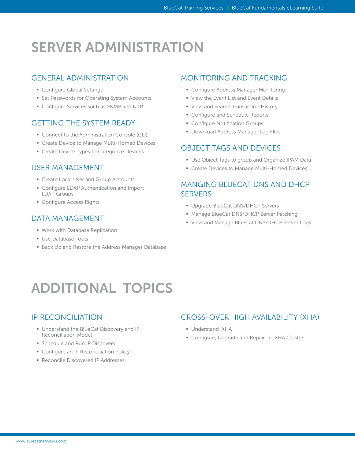## SERVER ADMINISTRATION

#### GENERAL ADMINISTRATION

- Configure Global Settings
- Set Passwords for Operating System Accounts
- Configure Services such as SNMP and NTP

#### GETTING THE SYSTEM READY

- Connect to the Administration Console (CLI)
- Create Device to Manage Multi-Homed Devices
- Create Device Types to Categorize Devices

#### USER MANAGEMENT

- Create Local User and Group Accounts
- Configure LDAP Authentication and Import LDAP Groups
- **Configure Access Rights**

#### DATA MANAGEMENT

- § Work with Database Replication
- § Use Database Tools
- Back Up and Restore the Address Manager Database

#### MONITORING AND TRACKING

- Configure Address Manager Monitoring
- **View the Event List and Event Details**
- View and Search Transaction History
- § Configure and Schedule Reports
- Configure Notification Groups
- **Download Address Manager Log Files**

#### OBJECT TAGS AND DEVICES

- Use Object Tags to group and Organize IPAM Data
- Create Devices to Manage Multi-Homed Devices

#### MANGING BLUECAT DNS AND DHCP **SERVERS**

- § Upgrade BlueCat DNS/DHCP Servers
- Manage BlueCat DNS/DHCP Server Patching
- View and Manage BlueCat DNS/DHCP Server Logs

# ADDITIONAL TOPICS

#### IP RECONCILIATION

- § Understand the BlueCat Discovery and IP Reconciliation Model
- **Schedule and Run IP Discovery**
- **Configure an IP Reconciliation Policy**
- Reconcile Discovered IP Addresses

#### CROSS-OVER HIGH AVAILABILITY (XHA)

- § Understand XHA
- Configure, Upgrade and Repair an XHA Cluster